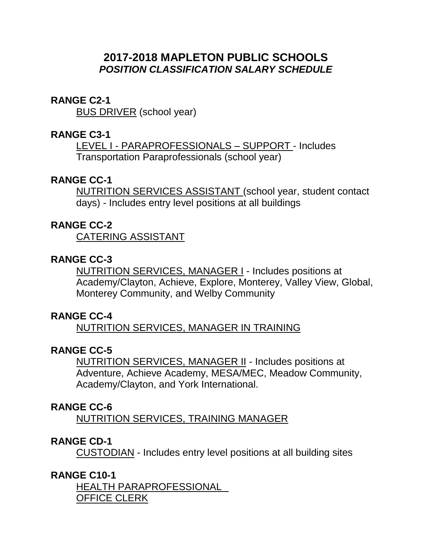# **2017-2018 MAPLETON PUBLIC SCHOOLS** *POSITION CLASSIFICATION SALARY SCHEDULE*

#### **RANGE C2-1**

BUS DRIVER (school year)

#### **RANGE C3-1**

LEVEL I - PARAPROFESSIONALS – SUPPORT - Includes Transportation Paraprofessionals (school year)

# **RANGE CC-1**

NUTRITION SERVICES ASSISTANT (school year, student contact days) - Includes entry level positions at all buildings

#### **RANGE CC-2**

CATERING ASSISTANT

## **RANGE CC-3**

NUTRITION SERVICES, MANAGER I - Includes positions at Academy/Clayton, Achieve, Explore, Monterey, Valley View, Global, Monterey Community, and Welby Community

#### **RANGE CC-4**

NUTRITION SERVICES, MANAGER IN TRAINING

# **RANGE CC-5**

NUTRITION SERVICES, MANAGER II - Includes positions at Adventure, Achieve Academy, MESA/MEC, Meadow Community, Academy/Clayton, and York International.

#### **RANGE CC-6**

NUTRITION SERVICES, TRAINING MANAGER

## **RANGE CD-1**

CUSTODIAN - Includes entry level positions at all building sites

## **RANGE C10-1**

HEALTH PARAPROFESSIONAL OFFICE CLERK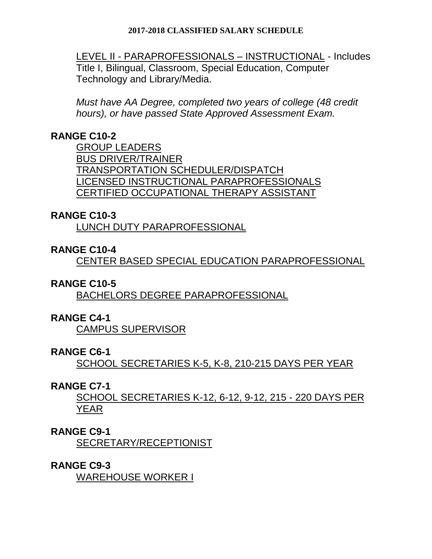LEVEL II - PARAPROFESSIONALS – INSTRUCTIONAL - Includes Title I, Bilingual, Classroom, Special Education, Computer Technology and Library/Media.

*Must have AA Degree, completed two years of college (48 credit hours), or have passed State Approved Assessment Exam.* 

# **RANGE C10-2**

GROUP LEADERS BUS DRIVER/TRAINER TRANSPORTATION SCHEDULER/DISPATCH LICENSED INSTRUCTIONAL PARAPROFESSIONALS CERTIFIED OCCUPATIONAL THERAPY ASSISTANT

## **RANGE C10-3**

LUNCH DUTY PARAPROFESSIONAL

# **RANGE C10-4**

CENTER BASED SPECIAL EDUCATION PARAPROFESSIONAL

## **RANGE C10-5**

BACHELORS DEGREE PARAPROFESSIONAL

## **RANGE C4-1**

CAMPUS SUPERVISOR

#### **RANGE C6-1**

SCHOOL SECRETARIES K-5, K-8, 210-215 DAYS PER YEAR

## **RANGE C7-1**

SCHOOL SECRETARIES K-12, 6-12, 9-12, 215 - 220 DAYS PER YEAR

## **RANGE C9-1**

SECRETARY/RECEPTIONIST

#### **RANGE C9-3**

WAREHOUSE WORKER I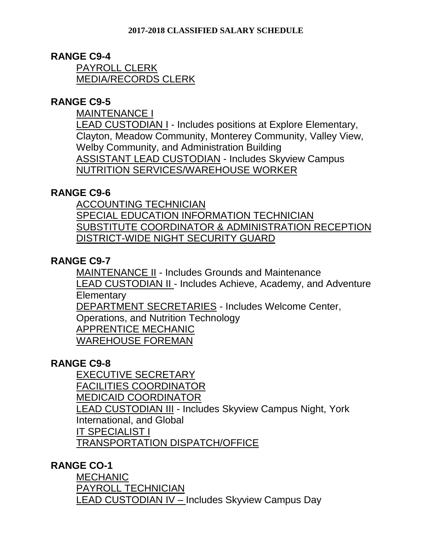## **RANGE C9-4**

PAYROLL CLERK MEDIA/RECORDS CLERK

# **RANGE C9-5**

MAINTENANCE I

LEAD CUSTODIAN I - Includes positions at Explore Elementary, Clayton, Meadow Community, Monterey Community, Valley View, Welby Community, and Administration Building ASSISTANT LEAD CUSTODIAN - Includes Skyview Campus NUTRITION SERVICES/WAREHOUSE WORKER

## **RANGE C9-6**

ACCOUNTING TECHNICIAN SPECIAL EDUCATION INFORMATION TECHNICIAN SUBSTITUTE COORDINATOR & ADMINISTRATION RECEPTION DISTRICT-WIDE NIGHT SECURITY GUARD

# **RANGE C9-7**

MAINTENANCE II - Includes Grounds and Maintenance LEAD CUSTODIAN II - Includes Achieve, Academy, and Adventure **Elementary** DEPARTMENT SECRETARIES - Includes Welcome Center, Operations, and Nutrition Technology APPRENTICE MECHANIC WAREHOUSE FOREMAN

# **RANGE C9-8**

EXECUTIVE SECRETARY FACILITIES COORDINATOR MEDICAID COORDINATOR LEAD CUSTODIAN III - Includes Skyview Campus Night, York International, and Global IT SPECIALIST I TRANSPORTATION DISPATCH/OFFICE

## **RANGE CO-1**

MECHANIC PAYROLL TECHNICIAN LEAD CUSTODIAN IV - Includes Skyview Campus Day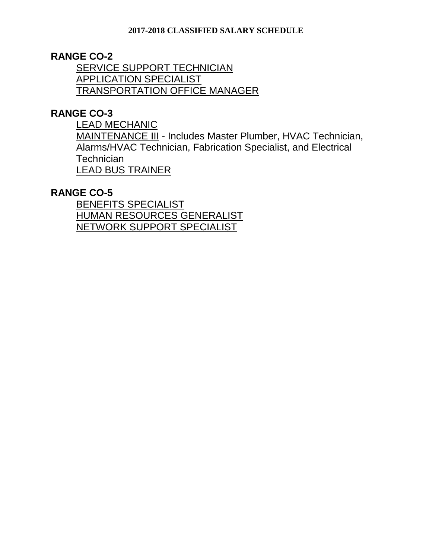## **RANGE CO-2**

SERVICE SUPPORT TECHNICIAN APPLICATION SPECIALIST TRANSPORTATION OFFICE MANAGER

## **RANGE CO-3**

LEAD MECHANIC

MAINTENANCE III - Includes Master Plumber, HVAC Technician, Alarms/HVAC Technician, Fabrication Specialist, and Electrical **Technician** LEAD BUS TRAINER

#### **RANGE CO-5**

BENEFITS SPECIALIST HUMAN RESOURCES GENERALIST NETWORK SUPPORT SPECIALIST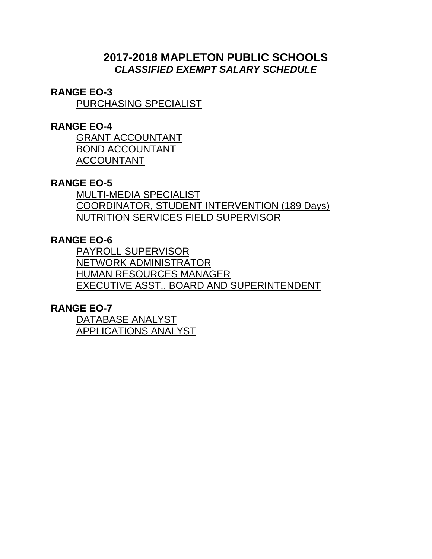# **2017-2018 MAPLETON PUBLIC SCHOOLS** *CLASSIFIED EXEMPT SALARY SCHEDULE*

#### **RANGE EO-3**

PURCHASING SPECIALIST

#### **RANGE EO-4**

GRANT ACCOUNTANT BOND ACCOUNTANT ACCOUNTANT

# **RANGE EO-5**

MULTI-MEDIA SPECIALIST COORDINATOR, STUDENT INTERVENTION (189 Days) NUTRITION SERVICES FIELD SUPERVISOR

# **RANGE EO-6**

PAYROLL SUPERVISOR NETWORK ADMINISTRATOR HUMAN RESOURCES MANAGER EXECUTIVE ASST., BOARD AND SUPERINTENDENT

## **RANGE EO-7**

DATABASE ANALYST APPLICATIONS ANALYST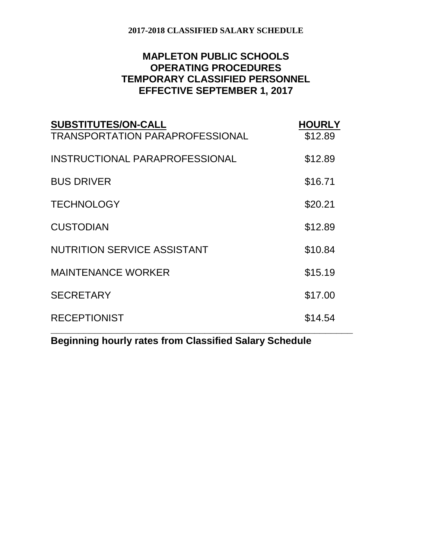# **MAPLETON PUBLIC SCHOOLS OPERATING PROCEDURES TEMPORARY CLASSIFIED PERSONNEL EFFECTIVE SEPTEMBER 1, 2017**

| <b>SUBSTITUTES/ON-CALL</b><br><b>TRANSPORTATION PARAPROFESSIONAL</b> | <b>HOURLY</b><br>\$12.89 |
|----------------------------------------------------------------------|--------------------------|
| INSTRUCTIONAL PARAPROFESSIONAL                                       | \$12.89                  |
| <b>BUS DRIVER</b>                                                    | \$16.71                  |
| <b>TECHNOLOGY</b>                                                    | \$20.21                  |
| <b>CUSTODIAN</b>                                                     | \$12.89                  |
| <b>NUTRITION SERVICE ASSISTANT</b>                                   | \$10.84                  |
| <b>MAINTENANCE WORKER</b>                                            | \$15.19                  |
| <b>SECRETARY</b>                                                     | \$17.00                  |
| <b>RECEPTIONIST</b>                                                  | \$14.54                  |

**Beginning hourly rates from Classified Salary Schedule**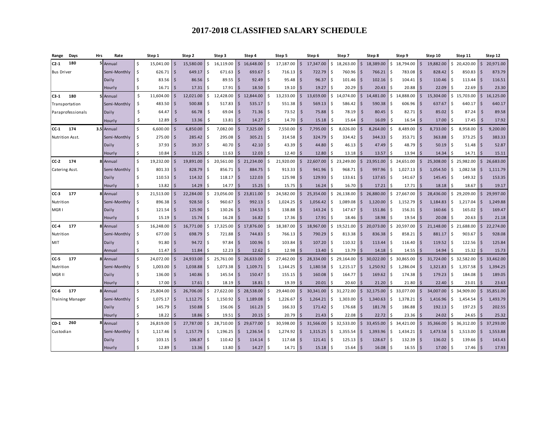| Range             | Days                    | Hrs | Rate         |         | Step 1       |                         | Step 2    |     | Step 3        |                    | Step 4      |               | Step 5    |                    | Step 6    |     | Step 7       |                    | Step 8    |    | Step 9                 |                    | Step 10   |               | Step 11       |                         | Step 12   |
|-------------------|-------------------------|-----|--------------|---------|--------------|-------------------------|-----------|-----|---------------|--------------------|-------------|---------------|-----------|--------------------|-----------|-----|--------------|--------------------|-----------|----|------------------------|--------------------|-----------|---------------|---------------|-------------------------|-----------|
| $C2-1$            | 180                     |     | 5 Annual     | Ŝ.      | 15,041.00    | $\mathsf{S}$            | 15,580.00 | Ŝ.  | 16.119.00     | $\mathsf{S}$       | 16,648.00   | -Ś            | 17,187.00 | $\mathsf{S}$       | 17,347.00 | Ś.  | 18,263.00    | $\mathsf{S}$       | 18,389.00 | Ś. | 18,794.00              | $\mathsf{S}$       | 19,882.00 | Ś.            | 20,420.00     | $\mathsf{\hat{S}}$      | 20,971.00 |
| <b>Bus Driver</b> |                         |     | Semi-Monthly | \$      | 626.71       | $\overline{\mathsf{S}}$ | 649.17    | S.  | $671.63$ \$   |                    | 693.67      | -\$           | 716.13    | $\zeta$            | 722.79    | \$  | $760.96$ \$  |                    | 766.21    | Ŝ  | 783.08                 | l s                | 828.42    | .\$           | $850.83$ \$   |                         | 873.79    |
|                   |                         |     | Daily        | Ŝ.      | 83.56        | Ŝ.                      | 86.56     | Ŝ   | 89.55         | l \$               | 92.49       |               | 95.48     | $\zeta$            | 96.37     | \$  | 101.46       |                    | 102.16    |    | $104.41$   \$          |                    | 110.46    | .\$           | $113.44$ \$   |                         | 116.51    |
|                   |                         |     | Hourly       | Ŝ       | 16.71        | Ŝ.                      | 17.31     |     | 17.91         |                    | 18.50       |               | 19.10     | \$                 | 19.27     | Ś.  | 20.29        |                    | 20.43     |    | 20.88                  | Ŝ.                 | 22.09     |               | 22.69         | -S                      | 23.30     |
| C3-1              | 180                     |     | 5 Annual     | \$      | 11,604.00    | Ŝ.                      | 12,021.00 | \$  | 12,428.00     | $\mathsf{S}$       | 12,844.00   | Ŝ.            | 13,233.00 | \$                 | 13,659.00 | \$  | 14,074.00    | $\mathsf{\hat{S}}$ | 14,481.00 |    | \$14,888.00            | $\mathsf{S}$       | 15,304.00 | \$            | 15,703.00 \$  |                         | 16,125.00 |
|                   | Transportation          |     | Semi-Monthly | Ŝ.      | 483.50       | Ŝ.                      | 500.88    | Ŝ   | 517.83        | l\$                | 535.17      | -\$           | 551.38    | \$                 | 569.13    | \$  | 586.42       | -Ŝ                 | 590.38    | -S | 606.96                 | l \$               | 637.67    | .\$           | 640.17        | $\overline{\mathsf{s}}$ | 640.17    |
|                   | Paraprofessionals       |     | Daily        | \$      | 64.47        | Ŝ.                      | 66.78     | Ŝ.  | 69.04         | - Ś                | 71.36       | -Ś            | 73.52     | $\mathsf{\hat{S}}$ | 75.88     | \$  | 78.19        | \$                 | 80.45     | Ŝ. | $82.71$ \$             |                    | 85.02     | -Ś            | $87.24$ \$    |                         | 89.58     |
|                   |                         |     | Hourly       | Ŝ       | 12.89        | \$                      | 13.36     | Ŝ.  | 13.81         | Ŝ.                 | 14.27       | -\$           | 14.70     | Ŝ.                 | 15.18     | Ŝ.  | 15.64        | Ś                  | 16.09     | Ŝ. | $16.54$ \ \$           |                    | 17.00     | -S            | 17.45         | Ŝ.                      | 17.92     |
| $CC-1$            | 174                     |     | 3.5 Annual   | $\sf S$ | 6,600.00     | $\dot{\mathsf{s}}$      | 6,850.00  | Ŝ.  | 7.082.00      |                    | 7,325.00    | -S            | 7,550.00  | $\mathsf{\hat{S}}$ | 7,795.00  | \$  | 8.026.00     |                    | 8.264.00  | ς. | 8,489.00               | -Ś                 | 8,733.00  | Ŝ.            | 8,958.00      | S.                      | 9,200.00  |
| Nutrition Asst.   |                         |     | Semi-Monthly | Ŝ.      | 275.00       | Ŝ.                      | 285.42    | -Ŝ  | 295.08        | $\sim$             | 305.21      | -S            | 314.58    | $\mathsf{\hat{S}}$ | 324.79    | \$  | 334.42       | $\varsigma$        | 344.33    | Ś, | $353.71$ $\frac{1}{5}$ |                    | 363.88    | -Ś            | $373.25$ \$   |                         | 383.33    |
|                   |                         |     | Daily        | Ŝ.      | $37.93$ \ \$ |                         | 39.37     | Ŝ.  | $40.70$ \$    |                    | 42.10       | Ŝ             | 43.39     | $\zeta$            | 44.80     | \$  | $46.13$ \$   |                    | 47.49     |    | $48.79$ \$             |                    | 50.19     | S,            | $51.48$ \$    |                         | 52.87     |
|                   |                         |     | Hourly       | Ŝ.      | 10.84        | $\zeta$                 | 11.25     | Ŝ.  | 11.63         |                    | 12.03       | Ŝ             | 12.40     | $\mathsf{\hat{S}}$ | 12.80     | \$  | 13.18        |                    | 13.57     | Ś  | 13.94                  | Ŝ.                 | 14.34     |               | 14.71         | S.                      | 15.11     |
| <b>CC-2</b>       | 174                     |     | Annual       | \$      | 19,232.00    | $\zeta$                 | 19,891.00 | \$  | 20,561.00     |                    | \$21,234.00 | Ś             | 21,920.00 | $\mathsf{S}$       | 22,607.00 | \$  | 23,249.00    | Ś.                 | 23,951.00 |    | \$24,651.00            | <sup>\$</sup>      | 25,308.00 | \$            | 25,982.00     | $\vert$ \$              | 26,683.00 |
| Catering Asst.    |                         |     | Semi-Monthly | \$      | 801.33       | Ŝ.                      | 828.79    |     | 856.71        |                    | 884.75      | Ś             | 913.33    | $\mathsf{\hat{S}}$ | 941.96    | Ś   | 968.71       |                    | 997.96    | Ś. | 1,027.13               | <sup>\$</sup>      | 1,054.50  | \$            | 1,082.58      | $\mathsf{S}$            | 1,111.79  |
|                   |                         |     | Daily        | \$      | $110.53$ \$  |                         | 114.32    |     | $118.17$   \$ |                    | 122.03      | Ŝ             | 125.98    | $\mathsf{\hat{S}}$ | 129.93    | \$  | 133.61       |                    | 137.65    | Ŝ  | 141.67                 | l s                | 145.45    | Ŝ             | $149.32$ \$   |                         | 153.35    |
|                   |                         |     | Hourly       | Ŝ.      | 13.82        | $\zeta$                 | 14.29     |     | 14.77         |                    | 15.25       | S             | 15.75     | Ś                  | 16.24     | \$. | 16.70        |                    | 17.21     |    | 17.71                  |                    | 18.18     |               | 18.67         | -Ś                      | 19.17     |
| <b>CC-3</b>       | 177                     |     | Annual       | \$      | 21,513.00    | $\mathsf{\hat{S}}$      | 22,284.00 | Ś.  | 23,056.00     | $\mathsf{S}$       | 23,811.00   | <sup>\$</sup> | 24,582.00 | $\mathsf{S}$       | 25,354.00 |     | \$26,138.00  | $\mathsf{S}$       | 26,880.00 |    | \$27,667.00            | <sup>\$</sup>      | 28,436.00 |               | \$29,209.00   | $\mathsf{\hat{S}}$      | 29,997.00 |
| Nutrition         |                         |     | Semi-Monthly | \$      | 896.38       | $\zeta$                 | 928.50    | .S  | 960.67        |                    | 992.13      | .S            | 1,024.25  | $\mathsf{\hat{S}}$ | 1,056.42  | \$  | 1,089.08     | $\varsigma$        | 1,120.00  | Ś. | 1,152.79               | S.                 | 1,184.83  | \$            | 1,217.04      | 5                       | 1,249.88  |
| MGR I             |                         |     | Daily        | Ŝ       | 121.54       | Ŝ.                      | 125.90    | S,  | 130.26        |                    | 134.53      | Ŝ             | 138.88    | $\mathsf{\hat{S}}$ | 143.24    | \$  | 147.67       | $\zeta$            | 151.86    | ς. | $156.31$ $\frac{1}{5}$ |                    | 160.66    | Ŝ.            | $165.02$ \$   |                         | 169.47    |
|                   |                         |     | Hourly       | Ŝ.      | 15.19        | $\zeta$                 | 15.74     |     | 16.28         |                    | 16.82       |               | 17.36     | Ś                  | 17.91     | Ś   | 18.46        |                    | 18.98     |    | 19.54                  | -S                 | 20.08     | ۹             | 20.63         | <sup>\$</sup>           | 21.18     |
| $CC-4$            | 177                     |     | Annual       | $\sf S$ | 16,248.00    | $\mathsf{\hat{S}}$      | 16,771.00 | Ś.  | 17.325.00     | $\mathsf{S}$       | 17,876,00   | <sup>\$</sup> | 18.387.00 | $\mathsf{\hat{S}}$ | 18,967.00 |     | \$19.521.00  | \$                 | 20.073.00 | Ś. | 20.597.00              | $\mathsf{\hat{S}}$ | 21.148.00 |               | \$21,688.00   | $\mathsf{S}$            | 22,274.00 |
| Nutrition         |                         |     | Semi-Monthly | \$      | 677.00       | \$                      | 698.79    | Ŝ.  | 721.88        | l\$                | 744.83      | -Ś            | 766.13    | $\mathsf{\hat{S}}$ | 790.29    | \$  | 813.38       | -Ś                 | 836.38    | -Ś | 858.21                 | l \$               | 881.17    | <sup>\$</sup> | 903.67        | $\overline{\mathsf{s}}$ | 928.08    |
| MIT               |                         |     | Daily        | Ŝ.      | 91.80        | Ŝ.                      | 94.72     | -Ŝ  | $97.84$ \$    |                    | 100.96      | -S            | 103.84    | \$                 | 107.20    | \$  | 110.32       | -Ś                 | 113.44    | -Ś | $116.40$ \$            |                    | 119.52    | .\$           | $122.56$ \$   |                         | 125.84    |
|                   |                         |     | Annual       | \$      | 11.47        | -Ś                      | 11.84     | Ś   | 12.23         | Ŝ.                 | 12.62       | Ŝ             | 12.98     | $\mathsf{\hat{S}}$ | 13.40     | Ś   | 13.79        | <sup>\$</sup>      | 14.18     |    | 14.55                  | -Ś                 | 14.94     |               | 15.32         | S.                      | 15.73     |
| CC-5              | 177                     |     | 8 Annual     | \$      | 24,072.00    | Ŝ.                      | 24,933.00 | Ŝ.  | 25,761.00     | S.                 | 26,633.00   | Ŝ             | 27,462.00 | \$                 | 28,334.00 | \$  | 29,164.00    | Ŝ.                 | 30,022.00 | Ŝ. | 30,865.00              | Ŝ.                 | 31,724.00 | Ś.            | 32,582.00     | \$                      | 33,462.00 |
| Nutrition         |                         |     | Semi-Monthly | Ŝ.      | 1,003.00     | Ŝ.                      | 1,038.88  | Ŝ.  | 1,073.38      | <b>S</b>           | 1,109.71    | - S           | 1,144.25  | \$                 | 1,180.58  | \$  | 1,215.17     | - Ś                | 1,250.92  | S. | 1,286.04               | -Ś                 | 1,321.83  | Ŝ.            | $1,357.58$ \$ |                         | 1,394.25  |
| MGR II            |                         |     | Daily        | Ŝ.      | 136.00       | Ŝ.                      | 140.86    | S   | 145.54        | l \$               | 150.47      | .S            | 155.15    | \$                 | 160.08    | \$  | 164.77       | -Ś                 | 169.62    | Ŝ  | 174.38                 | l S                | 179.23    | .\$           | $184.08$ \$   |                         | 189.05    |
|                   |                         |     | Hourly       | Ŝ.      | 17.00        | Ŝ.                      | 17.61     |     | 18.19         |                    | 18.81       |               | 19.39     | \$.                | 20.01     | ς.  | 20.60        |                    | 21.20     |    | 21.80                  |                    | 22.40     |               | 23.01         | \$.                     | 23.63     |
| CC-6              | 177                     |     | 8 Annual     | \$      | 25,804.00    | Ŝ.                      | 26,706.00 | Ŝ.  | 27,622.00     | $\mathsf{\hat{S}}$ | 28,538.00   | Ŝ.            | 29,440.00 | $\mathsf{\hat{S}}$ | 30,341.00 | \$  | 31,272.00    | $\mathsf{\hat{S}}$ | 32,175.00 | Ś. | 33,077.00              | <sup>\$</sup>      | 34,007.00 | Ŝ.            | 34,909.00     | $\vert$ \$              | 35,851.00 |
|                   | <b>Training Manager</b> |     | Semi-Monthly | Ŝ.      | 1,075.17     | Ŝ.                      | 1,112.75  | Ŝ.  | 1,150.92      | l \$               | 1,189.08    | -S            | 1,226.67  | \$                 | 1,264.21  | \$  | 1.303.00     | Ŝ.                 | 1,340.63  | Ŝ. | 1,378.21               | l \$               | 1,416.96  | Ŝ.            | 1,454.54      | -\$                     | 1,493.79  |
|                   |                         |     | Daily        | Ŝ       | 145.79       | Ŝ.                      | 150.88    | Ŝ.  | 156.06        | l S                | 161.23      | .S            | 166.33    | $\mathsf{\hat{S}}$ | 171.42    | \$  | 176.68       | -S                 | 181.78    | Ŝ  | 186.88                 | l \$               | 192.13    | .\$           | 197.23        | $\overline{\mathsf{s}}$ | 202.55    |
|                   |                         |     | Hourly       | Ŝ.      | 18.22        | -Ś                      | 18.86     |     | 19.51         |                    | 20.15       | Ŝ             | 20.79     | $\mathsf{\hat{S}}$ | 21.43     | Ś   | 22.08        |                    | 22.72     |    | 23.36                  | Ŝ.                 | 24.02     | Ŝ             | 24.65         | Ś                       | 25.32     |
| $CD-1$            | 260                     |     | Annual       | \$      | 26,819.00    | \$                      | 27,787.00 | \$  | 28,710.00     | $\mathsf{\hat{S}}$ | 29,677.00   | Ś             | 30,598.00 | \$                 | 31,566.00 | \$  | 32,533.00    | Ś.                 | 33,455.00 | Ŝ. | 34,421.00              | <sup>\$</sup>      | 35,366.00 | \$            | 36,312.00     | \$                      | 37,293.00 |
| Custodian         |                         |     | Semi-Monthly | \$      | 1,117.46     | \$                      | 1,157.79  | l\$ | 1,196.25      | l \$               | 1,236.54    | Ŝ             | 1,274.92  | \$                 | 1,315.25  | \$  | 1,355.54     | Ŝ.                 | 1,393.96  | \$ | 1,434.21               | -\$                | 1,473.58  | \$            | $1,513.00$ \$ |                         | 1,553.88  |
|                   |                         |     | Daily        | Ŝ       | 103.15       | $\overline{\mathsf{s}}$ | 106.87    | l\$ | 110.42        | l \$               | 114.14      | -Ś            | 117.68    | Ś                  | 121.41    | \$  | 125.13       | -Ś                 | 128.67    | Ŝ. | 132.39                 | l \$               | 136.02    | Ŝ.            | 139.66        | -\$                     | 143.43    |
|                   |                         |     | Hourly       |         | 12.89        | Ŝ.                      | 13.36     | -Ŝ  | $13.80$ \$    |                    | 14.27       | -Ś            | 14.71     | $\mathsf{\hat{S}}$ | 15.18     | \$  | $15.64$   \$ |                    | 16.08     | ۱Ś | 16.55                  | $\mathsf{S}$       | 17.00     | <sup>\$</sup> | $17.46$ \$    |                         | 17.93     |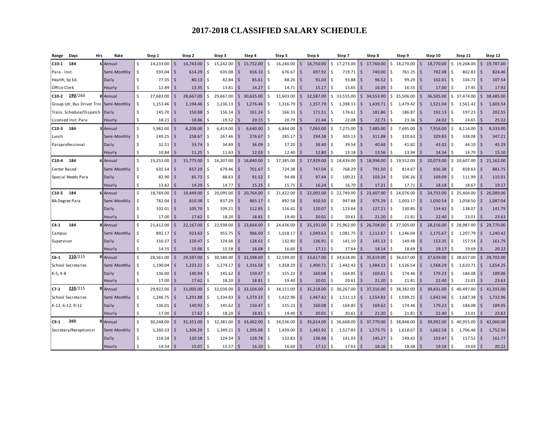| Days<br>Hrs<br>Range                    | Rate         |         | Step 1      |                    | Step 2    |     | Step 3        |                    | Step 4    |     | Step 5         |                         | Step 6    |     | Step 7      |                    | Step 8    |      | Step 9      |                    | Step 10   |     | Step 11     |                         | Step 12   |
|-----------------------------------------|--------------|---------|-------------|--------------------|-----------|-----|---------------|--------------------|-----------|-----|----------------|-------------------------|-----------|-----|-------------|--------------------|-----------|------|-------------|--------------------|-----------|-----|-------------|-------------------------|-----------|
| 184<br>$C10-1$                          | 6 Annual     | Ŝ.      | 14,233.00   | $\mathsf{\hat{S}}$ | 14,743.00 | Ŝ.  | 15,242.00     | S.                 | 15,752.00 | -\$ | $16,240.00$ \$ |                         | 16,750.00 | Ŝ.  | 17,273.00   | Ŝ.                 | 17,760.00 | Ŝ.   | 18,270.00   | $\zeta$            | 18,770.00 | ς.  | 19,268.00   | \$                      | 19,787.00 |
| Para - Inst.                            | Semi-Monthly | \$      | 593.04      | Ŝ.                 | 614.29    | Ŝ.  | 635.08        | l S                | 656.33    | -Ś  | 676.67         | $\overline{\mathsf{s}}$ | 697.92    | \$  | 719.71      | Ŝ.                 | 740.00    | -S   | 761.25      | $\mathsf{\hat{S}}$ | 782.08    |     | 802.83      | \$                      | 824.46    |
| Health, Sp Ed.                          | Daily        | Ś       | 77.35       | -S                 | 80.13     | Ŝ   | 82.84         | l S                | 85.61     | - S | $88.26$ \$     |                         | 91.03     | \$  | 93.88       | Ŝ.                 | 96.52     |      | 99.29       | Ŝ.                 | 102.01    |     | 104.72      | <b>S</b>                | 107.54    |
| Office Clerk                            | Hourly       | Ś.      | 12.89       | $\varsigma$        | 13.35     |     | 13.81         |                    | 14.27     | .S  | 14.71          | \$                      | 15.17     | \$  | 15.65       | \$.                | 16.09     |      | 16.55       | -Ś                 | 17.00     |     | 17.45       | \$                      | 17.92     |
| 190/260<br>C10-2                        | 8 Annual     | \$      | 27,683.00   | Ŝ.                 | 28,667.00 | \$  | 29,667.00     | S.                 | 30,635.00 | -Ś  | 31,603.00      | \$                      | 32,587.00 |     | \$33,555.00 | Ŝ.                 | 34,553.00 |      | \$35,506.00 | \$                 | 36,505.00 |     | \$37,474.00 | \$                      | 38,485.00 |
| Group Ldr, Bus Driver Trnr Semi-Monthly |              | \$      | 1,153.46    | -\$                | 1,194.46  | Ŝ.  | 1,236.13      | I \$               | 1,276.46  | -Ś  | 1,316.79       | \$                      | 1,357.79  | \$  | 1,398.13    | \$                 | 1,439.71  | -\$  | 1,479.42    | \$                 | 1,521.04  | \$  | 1,561.42    | \$                      | 1,603.54  |
| Trans. Schedule/Dispatch                | Daily        | \$      | 145.70      | $\mathsf{\hat{S}}$ | 150.88    | Ŝ.  | $156.14$ \$   |                    | 161.24    | -Ś  | 166.33         | $\ddot{\mathsf{S}}$     | 171.51    | \$  | 176.61      | $\mathsf{\hat{S}}$ | 181.86    | -\$  | 186.87      | $\zeta$            | 192.13    | Ŝ.  | 197.23      | $\sim$                  | 202.55    |
| Licensed Inst. Para                     | Hourly       | \$      | 18.21       | Ŝ                  | 18.86     | Ŝ   | 19.52         |                    | 20.15     | Ŝ   | 20.79          | Ś                       | 21.44     | Ś   | 22.08       | Ś                  | 22.73     |      | 23.36       | Ŝ.                 | 24.02     | Ŝ.  | 24.65       | \$                      | 25.32     |
| $C10-3$<br>184                          | 3 Annual     | Ś       | 5,982.00    | $\dot{\mathsf{s}}$ | 6.208.00  | S,  | 6,419.00      |                    | 6.640.00  | -Ś  | 6,844.00       | $\zeta$                 | 7.065.00  | Ś.  | 7.275.00    | $\zeta$            | 7,485.00  | Ŝ.   | 7,695.00    | $\dot{\mathsf{s}}$ | 7,916.00  | Ŝ.  | 8,114.00    | $\mathsf{S}$            | 8,333.00  |
| Lunch                                   | Semi-Monthly | Ś       | $249.25$ \$ |                    | 258.67    | ۱Ś  | 267.46        | l s                | 276.67    | -Ŝ  | 285.17         | $\mathsf{\hat{S}}$      | 294.38    | \$  | 303.13      | Ŝ.                 | 311.88    | ۱Ś   | 320.63      | $\zeta$            | 329.83    | -Ŝ  | 338.08      | $\mathsf{S}$            | 347.21    |
| Paraprofessional                        | Daily        | Ŝ.      | 32.51       | Ŝ.                 | 33.74     | ۱Ś  | $34.89$ \$    |                    | 36.09     | -Ś  | $37.20$ \$     |                         | 38.40     | Ŝ.  | 39.54       | Ŝ.                 | 40.68     | ۱Ś   | 41.82       | $\zeta$            | 43.02     | -Ŝ  | $44.10$ \$  |                         | 45.29     |
|                                         | Hourly       | Ś       | 10.84       | -Ś                 | 11.25     | Ŝ.  | 11.63         | Ŝ.                 | 12.03     | Ŝ.  | 12.40          | Ś                       | 12.80     | \$  | 13.18       | $\mathsf{\hat{S}}$ | 13.56     | Ŝ.   | 13.94       | $\zeta$            | 14.34     | Ŝ.  | 14.70       | $\overline{\mathsf{s}}$ | 15.10     |
| $C10-4$<br>184                          | 6 Annual     | \$      | 15,253.00   | $\zeta$            | 15,775.00 | Ŝ.  | 16,307.00     | $\mathsf{\hat{S}}$ | 16,840.00 | Ŝ.  | 17,385.00      | $\mathsf{S}$            | 17,929.00 |     | \$18,439.00 | Ś.                 | 18,996.00 |      | \$19,552.00 | $\mathsf{\hat{S}}$ | 20,073.00 | Ś.  | 20,607.00   | $\mathsf{S}$            | 21,162.00 |
| Center Based -                          | Semi-Monthly | \$      | 635.54      | -Ś                 | 657.29    |     | 679.46        |                    | 701.67    | Ŝ   | 724.38         | \$                      | 747.04    | Ś.  | 768.29      | Ś                  | 791.50    |      | 814.67      | $\mathsf{\hat{S}}$ | 836.38    |     | 858.63      | $\mathsf{\hat{S}}$      | 881.75    |
| Special Needs Para                      | Daily        | \$      | 82.90       | -Ś                 | 85.73     | .S  | 88.63         | l \$               | 91.52     | -Ś  | 94.48          | $\zeta$                 | 97.44     | Ś   | 100.21      | Ŝ.                 | 103.24    |      | 106.26      | -\$                | 109.09    |     | 111.99      | $\overline{\mathsf{s}}$ | 115.01    |
|                                         | Hourly       | \$      | 13.82       | Ś                  | 14.29     |     | 14.77         | S.                 | 15.25     | Ŝ   | 15.75          | \$                      | 16.24     | Ś   | 16.70       | Ś                  | 17.21     |      | 17.71       | Ŝ.                 | 18.18     |     | 18.67       | \$                      | 19.17     |
| C10-5 184                               | 6 Annual     | \$      | 18,769.00   | $\zeta$            | 19,449.00 | \$. | 20,095.00     | S.                 | 20,764.00 | Ŝ.  | 21,422.00      | \$                      | 22,092.00 |     | \$22,749.00 | $\sim$             | 23,407.00 |      | \$24,076,00 | \$                 | 24,733.00 |     | \$25,404.00 | \$                      | 26,089.00 |
| <b>BA Degree Para</b>                   | Semi-Monthly | \$      | 782.04      | Ś                  | 810.38    |     | 837.29        |                    | 865.17    | Ŝ   | 892.58         | Ś                       | 920.50    | Ś.  | 947.88      | Ś                  | 975.29    |      | 1,003.17    | $\mathsf{\hat{S}}$ | 1,030.54  | Ś   | 1,058.50    | \$                      | 1,087.04  |
|                                         | Daily        | Ś       | 102.01      | $\mathsf{\hat{S}}$ | 105.70    |     | 109.21        |                    | 112.85    |     | 116.42         | \$                      | 120.07    | \$  | 123.64      | $\mathsf{\hat{S}}$ | 127.21    |      | 130.85      | <sup>5</sup>       | 134.42    |     | 138.07      | $\mathsf{\hat{S}}$      | 141.79    |
|                                         | Hourly       | \$      | 17.00       | $\zeta$            | 17.62     |     | 18.20         |                    | 18.81     |     | 19.40          | Ś                       | 20.01     |     | 20.61       | Ś                  | 21.20     |      | 21.81       | $\zeta$            | 22.40     |     | 23.01       | <sup>\$</sup>           | 23.63     |
| $C4-1$<br>184                           | Annual       | Ś       | 21,412.00   | $\zeta$            | 22,167.00 | Ś.  | 22.938.00     | $\mathsf{\hat{S}}$ | 23.664.00 |     | 24.436.00      | $\mathsf{\hat{S}}$      | 25.191.00 | \$  | 25.962.00   | $\mathsf{S}$       | 26.704.00 | Ŝ.   | 27.505.00   | $\zeta$            | 28.216.00 | Ś.  | 28.987.00   | $\mathsf{S}$            | 29.770.00 |
| Campus                                  | Semi-Monthly | \$      | 892.17      | -Ś                 | 923.63    |     | 955.75        |                    | 986.00    | .S  | 1,018.17       | \$                      | 1,049.63  | Ś.  | 1.081.75    | Ŝ.                 | 1,112.67  | Ŝ.   | 1,146.04    | <sup>5</sup>       | 1,175.67  | Ŝ   | 1.207.79    | $\zeta$                 | 1,240.42  |
| Supervisor                              | Daily        | Ŝ.      | 116.37      | <sub>S</sub>       | 120.47    |     | 124.66        |                    | 128.61    |     | 132.80         | $\zeta$                 | 136.91    | \$. | 141.10      | $\mathsf{\hat{S}}$ | 145.13    |      | 149.48      | <sub>S</sub>       | 153.35    | Š.  | 157.54      | $\mathsf{\hat{S}}$      | 161.79    |
|                                         | Hourly       | Ŝ.      | 14.55       | Ś                  | 15.06     |     | 15.58         |                    | 16.08     |     | 16.60          | Ś                       | 17.11     | \$. | 17.64       | $\mathsf{\hat{S}}$ | 18.14     |      | 18.69       | Ś                  | 19.17     |     | 19.69       | <sub>S</sub>            | 20.22     |
| 210/215<br>$C6-1$                       | 8 Annual     | $\zeta$ | 28,561.00   | $\zeta$            | 29.597.00 |     | 30.580.00     | Ŝ.                 | 31.598.00 |     | 32.599.00      | $\mathsf{\hat{S}}$      | 33,617.00 | \$  | 34.618.00   | $\mathsf{S}$       | 35.619.00 | S.   | 36.637.00   | $\mathsf{\hat{S}}$ | 37,639.00 | Ŝ.  | 38.657.00   | \$                      | 39,702.00 |
| School Secretaries                      | Semi-Monthly | \$      | 1,190.04    | -Ś                 | 1,233.21  | Ŝ   | 1,274.17      | IS.                | 1,316.58  | - S | 1,358.29       | \$                      | 1,400.71  | \$  | 1,442.42    | Ŝ.                 | 1,484.13  | -\$  | 1,526.54    | -\$                | 1,568.29  | Ŝ.  | 1,610.71    | \$                      | 1,654.25  |
| K-5, K-8                                | Daily        | Ś.      | 136.00      | -S                 | 140.94    |     | 145.62        | S.                 | 150.47    | .S  | 155.23         | \$                      | 160.08    | \$  | 164.85      | Ŝ.                 | 169.61    |      | 174.46      | -Ś                 | 179.23    |     | 184.08      | \$                      | 189.06    |
|                                         | Hourly       | Ŝ.      | 17.00       | Ś                  | 17.62     |     | 18.20         |                    | 18.81     | .S  | 19.40          | Ś                       | 20.01     | ς.  | 20.61       | $\mathsf{\hat{S}}$ | 21.20     |      | 21.81       | $\zeta$            | 22.40     |     | 23.01       | \$                      | 23.63     |
| 220/215<br>$C7-1$                       | 8 Annual     | Ś       | 29,922.00   | -Ś                 | 31,005.00 | Ŝ   | 32,036.00     | S.                 | 33,104.00 | .S  | 34,151.00      | \$                      | 35,218.00 | \$  | 36,267.00   | Ś.                 | 37,316.00 | S.   | 38,382.00   | Ŝ.                 | 39,431.00 |     | 40,497.00   | \$                      | 41,591.00 |
| School Secretaries                      | Semi-Monthly | \$      | 1,246.75    | -\$                | 1,291.88  | Ŝ   | 1,334.83      | <b>S</b>           | 1,379.33  | -Ś  | 1,422.96       | \$                      | 1,467.42  | \$  | 1,511.13    | \$                 | 1,554.83  | -S   | 1,599.25    | $\mathsf{\hat{S}}$ | 1,642.96  | Ŝ.  | 1,687.38    | $\ddot{\mathsf{S}}$     | 1,732.96  |
| K-12, 6-12, 9-12                        | Daily        | Ś       | 136.01      | -\$                | 140.93    | Ŝ.  | 145.62        | l\$                | 150.47    | Ŝ   | 155.23         | \$                      | 160.08    | \$  | 164.85      | Ŝ.                 | 169.62    |      | 174.46      | $\mathsf{\hat{S}}$ | 179.23    | Ŝ.  | 184.08      | \$                      | 189.05    |
|                                         | Hourly       | Ŝ.      | 17.00       | Ś                  | 17.62     |     | 18.20         |                    | 18.81     | .S  | 19.40          | $\mathsf{\hat{S}}$      | 20.01     | \$. | 20.61       | $\mathsf{\hat{S}}$ | 21.20     |      | 21.81       | -Ś                 | 22.40     |     | 23.01       | Ŝ.                      | 23.63     |
| 260<br>$C9-1$                           | 8 Annual     | \$      | 30,248.00   | -Ś                 | 31,351.00 | Ŝ.  | 32,381.00     | $\mathsf{S}$       | 33.482.00 | -Ś  | 34,536.00      | $\mathsf{\hat{S}}$      | 35,614.00 |     | \$36,668.00 | Ŝ.                 | 37,770.00 |      | \$38,848.00 | Ŝ.                 | 39,902.00 | Ŝ.  | 40,955.00   | \$                      | 42,060.00 |
| Secretary/Receptionist                  | Semi-Monthly | \$      | 1,260.33    | Ŝ.                 | 1,306.29  | -\$ | $1,349.21$ \$ |                    | 1,395.08  | -Ś  | 1,439.00       | \$                      | 1,483.92  | \$  | 1,527.83    | \$                 | 1,573.75  | l S  | 1,618.67    | $\mathsf{\hat{S}}$ | 1,662.58  | Ŝ.  | 1,706.46    | \$                      | 1,752.50  |
|                                         | Daily        | Ś       | 116.34      | -Ś                 | 120.58    | -Ŝ  | 124.54        | <b>S</b>           | 128.78    | Ŝ.  | 132.83         | Ś                       | 136.98    | \$  | 141.03      | Ŝ.                 | 145.27    | -Ŝ   | 149.42      | $\mathsf{\hat{S}}$ | 153.47    | Ŝ.  | 157.52      | \$                      | 161.77    |
|                                         | Hourly       |         | $14.54$ \$  |                    | 15.07     | € • | $15.57$ \$    |                    | 16.10     | -Ś  | $16.60$   \$   |                         | 17.12     | \$  | $17.63$ \$  |                    | 18.16     | l \$ | 18.68       | $\mathsf{\hat{S}}$ | 19.18     | l s | 19.69       | $\zeta$                 | 20.22     |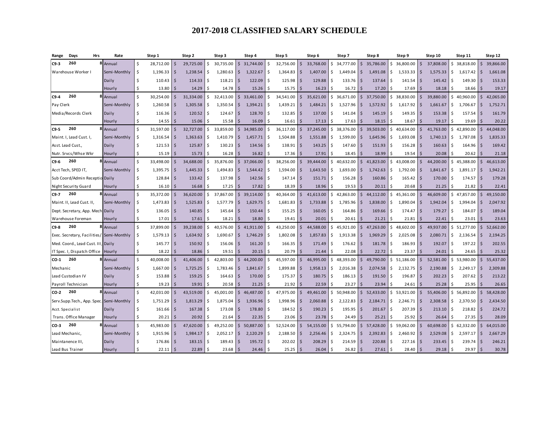| Range       | Days<br>Hrs                               | Rate         | Step 1                          |              | Step 2    |     | Step 3    |              | Step 4    |                   | Step 5    |                         | Step 6    |     | Step 7      |                         | Step 8    |     | Step 9             |                    | Step 10   |     | Step 11   |                    | Step 12   |
|-------------|-------------------------------------------|--------------|---------------------------------|--------------|-----------|-----|-----------|--------------|-----------|-------------------|-----------|-------------------------|-----------|-----|-------------|-------------------------|-----------|-----|--------------------|--------------------|-----------|-----|-----------|--------------------|-----------|
| $C9-3$      | 260                                       | 8 Annual     | \$<br>28,712.00                 |              | 29,725.00 | Ŝ.  | 30,735.00 | Ŝ.           | 31,744.00 | -Ś                | 32,756.00 | Ś                       | 33,768.00 | Ś.  | 34,777.00   | Ŝ.                      | 35,786.00 | Ś.  | 36,800.00          | Ŝ.                 | 37,808.00 | Ŝ.  | 38,818.00 | $\zeta$            | 39,866.00 |
|             | Warehouse Worker                          | Semi-Monthly | \$<br>$1,196.33$   \$           |              | 1,238.54  | -\$ | 1,280.63  | <b>S</b>     | 1,322.67  | Ŝ.                | 1,364.83  | S.                      | 1,407.00  | \$  | 1,449.04    | l S                     | 1,491.08  | -\$ | $1,533.33$ \$      |                    | 1,575.33  | -S  | 1,617.42  | Ś                  | 1,661.08  |
|             |                                           | Daily        | \$<br>$110.43$ \$               |              | 114.33    | ۱Ś  | 118.21    | S.           | 122.09    | -Ś                | 125.98    | Ŝ.                      | 129.88    | Ś.  | 133.76      | l S                     | 137.64    | . Ś | 141.54             | -Ś                 | 145.42    | . Ś | 149.30    | Ś                  | 153.33    |
|             |                                           | Hourly       | 13.80<br>\$                     |              | 14.29     | Ŝ   | 14.78     | -S           | 15.26     | <sup>\$</sup>     | 15.75     | Ś                       | 16.23     | Ś.  | 16.72       |                         | 17.20     | Ŝ   | 17.69              | \$.                | 18.18     | Ŝ   | 18.66     |                    | 19.17     |
| $C9-4$      | 260                                       | 8 Annual     | $\mathsf{\hat{S}}$<br>30,254.00 | l \$         | 31,334.00 | Ŝ.  | 32,413.00 | $\mathsf{S}$ | 33,461.00 | \$                | 34,541.00 | $\mathsf{\hat{S}}$      | 35,621.00 | Ś.  | 36,671.00   | S.                      | 37,750.00 | \$  | 38,830.00          | $\mathsf{\hat{S}}$ | 39,880.00 | Ŝ.  | 40,960.00 | $\mathsf{\hat{S}}$ | 42,065.00 |
| Pay Clerk   |                                           | Semi-Monthly | $1,260.58$ \$<br>\$             |              | 1,305.58  | ۱\$ | 1,350.54  | S.           | 1,394.21  | \$                | 1,439.21  | $\mathsf{\hat{S}}$      | 1,484.21  | \$  | 1,527.96    | Ŝ.                      | 1,572.92  | -\$ | 1,617.92           | <b>S</b>           | 1,661.67  | Ŝ.  | 1,706.67  | Ś                  | 1,752.71  |
|             | Media/Records Clerk                       | Daily        | \$                              | $116.36$ \$  | 120.52    | ۱Ś  | 124.67    | <b>S</b>     | 128.70    | <sup>\$</sup>     | 132.85    | Ś                       | 137.00    | \$. | 141.04      | Ŝ.                      | 145.19    | Ŝ.  | $149.35$ $\mid$ \$ |                    | 153.38    | Ŝ.  | 157.54    | Ś                  | 161.79    |
|             |                                           | Hourly       | Ŝ                               | $14.55$ \S   | 15.06     | Ŝ.  | 15.58     | -S           | 16.09     | <sup>\$</sup>     | 16.61     | $\zeta$                 | 17.13     | \$. | 17.63       |                         | 18.15     | -Ś  | 18.67              | Ŝ.                 | 19.17     | Ŝ.  | 19.69     |                    | 20.22     |
| $C9-5$      | 260                                       | 8 Annual     | \$<br>31,597.00                 | $\mathsf{S}$ | 32,727.00 | \$  | 33,859.00 | $\mathsf{S}$ | 34,985.00 | \$                | 36,117.00 | $\mathsf{\hat{S}}$      | 37,245.00 | \$  | 38,376.00   | $\mathsf{\hat{S}}$      | 39,503.00 | \$  | 40,634.00          | $\zeta$            | 41,763.00 | \$  | 42,890.00 | \$                 | 44,048.00 |
|             | Maint. I, Lead Cust. I,                   | Semi-Monthly | Ŝ.<br>$1,316.54$ \$             |              | 1,363.63  | ۱\$ | 1,410.79  | <b>S</b>     | 1,457.71  | \$                | 1,504.88  | \$                      | 1,551.88  | \$  | 1,599.00    | l \$                    | 1,645.96  | -\$ | 1,693.08           | <b>S</b>           | 1,740.13  | Ŝ.  | 1,787.08  | \$                 | 1,835.33  |
|             | Asst. Lead Cust.,                         | Daily        | Ś.                              | $121.53$ \$  | 125.87    | Ŝ.  | 130.23    | <b>S</b>     | 134.56    | <sup>\$</sup>     | 138.91    | $\zeta$                 | 143.25    | Ś.  | 147.60      | $\overline{\mathsf{s}}$ | 151.93    | Ŝ.  | $156.28$ \$        |                    | 160.63    | Ŝ.  | 164.96    | Ś                  | 169.42    |
|             | Nutr. Srvcs/Whse Wkr                      | Hourly       | Ŝ.                              | $15.19$   \$ | 15.73     | -Ś  | 16.28     |              | 16.82     | \$                | 17.36     | Ś                       | 17.91     | Ś   | 18.45       |                         | 18.99     | Ŝ.  | 19.54              | $\vert$ \$         | 20.08     | Ŝ.  | 20.62     | Ś                  | 21.18     |
| $C9-6$      | 260                                       | 8 Annual     | $\mathsf{\hat{S}}$<br>33,498.00 |              | 34,688.00 | ς.  | 35.876.00 | Ŝ.           | 37.066.00 | -Ś                | 38,256.00 | \$.                     | 39.444.00 | Ś.  | 40.632.00   | Ŝ.                      | 41.823.00 | Ś.  | 43.008.00          | $\mathsf{\hat{S}}$ | 44.200.00 | Ŝ.  | 45.388.00 | Ś.                 | 46,613.00 |
|             | Acct Tech, SPED IT,                       | Semi-Monthly | \$<br>$1,395.75$ \$             |              | 1,445.33  | Ŝ.  | 1.494.83  | <b>S</b>     | 1.544.42  | <sup>\$</sup>     | 1,594.00  | Ś                       | 1,643.50  | Ś.  | 1,693.00    | Ŝ.                      | 1,742.63  | Ś   | 1.792.00           | $\mathsf{\hat{S}}$ | 1,841.67  | Ŝ.  | 1.891.17  | <sup>\$</sup>      | 1,942.21  |
|             | Sub Coord/Admin Receptio Daily            |              | \$<br>$128.84$ \$               |              | 133.42    |     | 137.98    | $\mathsf{S}$ | 142.56    | <sup>\$</sup>     | 147.14    | <sup>5</sup>            | 151.71    | Ś   | 156.28      |                         | 160.86    | Ś   | 165.42             | 5                  | 170.00    | Ś   | 174.57    | <sup>\$</sup>      | 179.28    |
|             | Night Security Guard                      | Hourly       | Ŝ.<br>16.10                     |              | 16.68     |     | 17.25     |              | 17.82     | Ŝ                 | 18.39     | Ś                       | 18.96     | Ś   | 19.53       |                         | 20.11     |     | 20.68              | Ŝ.                 | 21.25     | .S  | 21.82     | S                  | 22.41     |
| $C9-7$      | 260                                       | 8 Annual     | Ś.<br>35,372.00                 |              | 36.620.00 | \$  | 37.867.00 | $\mathsf{S}$ | 39.114.00 | $\hat{\varsigma}$ | 40,364.00 | Ś.                      | 41,613.00 |     | \$42.863.00 | $\mathsf{S}$            | 44.112.00 | Ŝ.  | 45.361.00          | $\mathsf{\hat{S}}$ | 46.609.00 | Ŝ.  | 47.857.00 | $\mathsf{\hat{S}}$ | 49,150.00 |
|             | Maint. II, Lead Cust. II,                 | Semi-Monthly | Ś<br>$1,473.83$ \$              |              | 1,525.83  |     | 1,577.79  | Ŝ.           | 1,629.75  | Ś                 | 1,681.83  | $\mathsf{\hat{S}}$      | 1,733.88  | \$  | 1,785.96    | Ŝ.                      | 1,838.00  | Ś   | 1,890.04           | $\zeta$            | 1,942.04  | Ś   | 1,994.04  | \$                 | 2,047.92  |
|             | Dept. Secretary, App. Mech. Daily         |              | Ś.                              | $136.05$ \$  | 140.85    |     | 145.64    |              | 150.44    | Ŝ                 | 155.25    | Ś                       | 160.05    | Ś.  | 164.86      | -Ŝ                      | 169.66    | Ś   | 174.47             | S.                 | 179.27    |     | 184.07    | Ś                  | 189.04    |
|             | Warehouse Foreman                         | Hourly       | \$                              | $17.01$   \$ | 17.61     |     | 18.21     |              | 18.80     |                   | 19.41     | Ś                       | 20.01     |     | 20.61       |                         | 21.21     |     | 21.81              | Ŝ.                 | 22.41     |     | 23.01     |                    | 23.63     |
| $C9-8$      | 260                                       | Annual       | \$<br>37,899.00                 |              | 39,238.00 |     | 40.576.00 |              | 41.911.00 | Ś                 | 43,250.00 | $\overline{\mathsf{S}}$ | 44,588.00 | Ś.  | 45.921.00   | $\mathsf{S}$            | 47,263.00 | Ś   | 48,602.00          | $\mathsf{\hat{S}}$ | 49,937.00 | Ś.  | 51,277.00 | Ś.                 | 52,662.00 |
|             | Exec. Secretary, Facilities/ Semi-Monthly |              | \$<br>$1,579.13$ \$             |              | 1,634.92  | -S  | 1,690.67  | S.           | 1,746.29  | -Ś                | 1,802.08  | Ś                       | 1,857.83  | Ś.  | 1,913.38    | Ŝ.                      | 1,969.29  | . Ś | 2,025.08           | Ŝ.                 | 2,080.71  | Ŝ.  | 2,136.54  | Ś                  | 2,194.25  |
|             | Med. Coord., Lead Cust. III, Daily        |              | Ś<br>145.77S                    |              | 150.92    | -Ś  | 156.06    | S.           | 161.20    | <sup>\$</sup>     | 166.35    | Ś                       | 171.49    | Ś   | 176.62      | l \$                    | 181.78    | -Ś  | 186.93             | l \$               | 192.07    | Ŝ.  | 197.22    | Ś                  | 202.55    |
|             | IT Spec. I, Dispatch Office               | Hourly       | 18.22<br>Ŝ.                     |              | 18.86     |     | 19.51     |              | 20.15     | Ŝ                 | 20.79     | Ś                       | 21.44     |     | 22.08       |                         | 22.72     | Ś   | 23.37              | Ŝ.                 | 24.01     |     | 24.65     |                    | 25.32     |
| <b>CO-1</b> | 260                                       | Annual       | Ś<br>40,008.00                  |              | 41.406.00 |     | 42,803.00 |              | 44.200.00 | Ŝ                 | 45,597.00 | Ś                       | 46,995.00 | Ś.  | 48,393.00   | $\varsigma$             | 49.790.00 | Ś.  | 51,186.00          | $\mathsf{\hat{S}}$ | 52.581.00 | Ś   | 53,980.00 | Ś.                 | 55,437.00 |
| Mechanic    |                                           | Semi-Monthly | \$<br>1,667.00                  | l S          | 1,725.25  | .S  | 1.783.46  | S.           | 1,841.67  | -Ś                | 1,899.88  | Ŝ.                      | 1,958.13  | Ś.  | 2,016.38    | S.                      | 2,074.58  | Ŝ.  | 2,132.75           | l \$               | 2,190.88  | Ŝ.  | 2,249.17  | Ŝ.                 | 2,309.88  |
|             | Lead Custodian IV                         | Daily        | Ś<br>$153.88$ \$                |              | 159.25    | Ŝ   | 164.63    | ∣\$          | 170.00    | -Ś                | 175.37    | Ŝ.                      | 180.75    | \$. | 186.13      | S.                      | 191.50    | Ŝ.  | 196.87             | Ŝ.                 | 202.23    | .S  | 207.62    | S                  | 213.22    |
|             | Payroll Technician                        | Hourly       | Ŝ<br>19.23                      |              | 19.91     |     | 20.58     |              | 21.25     | Ś,                | 21.92     | Ś                       | 22.59     |     | 23.27       |                         | 23.94     |     | 24.61              | <b>S</b>           | 25.28     |     | 25.95     |                    | 26.65     |
| CO-2        | 260                                       | 8 Annual     | \$<br>42,031.00                 |              | 43.519.00 | Ś   | 45.001.00 | Ŝ.           | 46.487.00 | .S                | 47.975.00 | Ś                       | 49,461.00 | Ś.  | 50.948.00   | Ŝ.                      | 52.433.00 | Ś   | 53.921.00          | Ŝ.                 | 55.406.00 | Ŝ.  | 56,892.00 | \$                 | 58.428.00 |
|             | Serv.Supp.Tech., App. Spec. Semi-Monthly  |              | Ŝ.<br>1,751.29                  | l \$         | 1,813.29  | Ŝ.  | 1,875.04  | S.           | 1,936.96  | -Ś                | 1,998.96  | \$                      | 2,060.88  | \$  | 2,122.83    | Ŝ.                      | 2,184.71  | \$  | 2,246.71           | Ŝ.                 | 2,308.58  | Ŝ.  | 2,370.50  | \$                 | 2,434.50  |
|             | Acct. Specialist                          | Daily        | Ś<br>161.66                     | l S          | 167.38    | .S  | 173.08    | S            | 178.80    | Ŝ                 | 184.52    | -S                      | 190.23    | \$. | 195.95      | -S                      | 201.67    | .\$ | 207.39             | -Ś                 | 213.10    | .S  | 218.82    | Ś                  | 224.72    |
|             | Trans. Office Manager                     | Hourly       | Ś.<br>20.21                     |              | 20.92     |     | 21.64     |              | 22.35     | Ś                 | 23.06     | Ś                       | 23.78     |     | 24.49       |                         | 25.21     |     | 25.92              |                    | 26.64     |     | 27.35     |                    | 28.09     |
| CO-3        | 260                                       | 8 Annual     | \$<br>45,983.00                 |              | 47,620.00 | Ŝ.  | 49,252.00 | $\mathsf{S}$ | 50,887.00 | <sup>\$</sup>     | 52,524.00 | \$                      | 54,155.00 | Ś.  | 55,794.00   | $\mathsf{\hat{S}}$      | 57,428.00 | \$  | 59,062.00          | $\mathsf{\hat{S}}$ | 60,698.00 | Ś   | 62,332.00 | \$                 | 64,015.00 |
|             | Lead Mechanic,                            | Semi-Monthly | Ŝ.<br>$1,915.96$ \$             |              | 1,984.17  | \$  | 2,052.17  | <b>S</b>     | 2,120.29  | Ŝ.                | 2,188.50  | \$                      | 2,256.46  | \$  | 2,324.75    | IS.                     | 2,392.83  | -\$ | $2,460.92$ \$      |                    | 2,529.08  | Ŝ.  | 2,597.17  | \$                 | 2,667.29  |
|             | Maintanence III,                          | Daily        | Ś<br>176.86                     |              | 183.15    | Ŝ.  | 189.43    | ∣\$          | 195.72    | <sup>\$</sup>     | 202.02    | Ś                       | 208.29    | \$. | 214.59      | -Ŝ                      | 220.88    | . Ś | 227.16             | Ŝ.                 | 233.45    | Ŝ   | 239.74    | Ś                  | 246.21    |
|             | Lead Bus Trainer                          | Hourly       |                                 | $22.11$   \$ | 22.89     | -S  | 23.68     | <b>S</b>     | 24.46     | Ŝ                 | 25.25     | -Ś                      | 26.04     | Ś   | 26.82       | -S                      | 27.61     | .S  | 28.40              | Ŝ.                 | 29.18     | .S  | 29.97     |                    | 30.78     |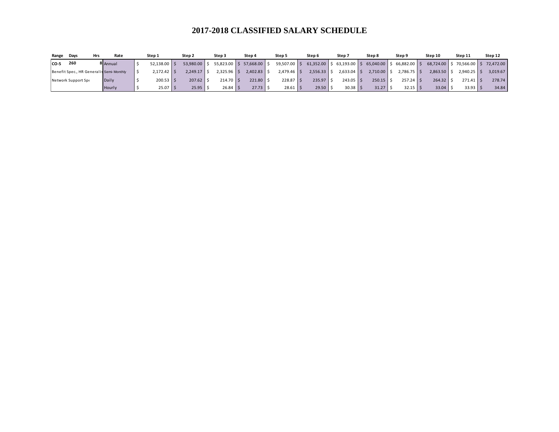| Range | Days                                     | Hrs | Rate     | Step 1         | Step 2       | Step 3       | Step 4                 | Step 5             | Step 6   | Step 7        | Step 8                                                | Step 9       | Step 10                           | Step 11       | Step 12  |
|-------|------------------------------------------|-----|----------|----------------|--------------|--------------|------------------------|--------------------|----------|---------------|-------------------------------------------------------|--------------|-----------------------------------|---------------|----------|
| CO-5  | 260                                      |     | 8 Annual | $52,138.00$ \$ | 53,980.00 \$ | 55,823.00    | $5\,57,668.00$ $\,$ \$ | $59,507.00$ \$     |          |               | $61,352.00$ \$ 63,193.00 \$ 65,040.00 \$ 66,882.00 \$ |              | 68,724.00 \$70,566.00 \$72,472.00 |               |          |
|       | Benefit Spec., HR Generalis Semi-Monthly |     |          | $2,172.42$ \$  | $2.249.17$ S | 2,325.96 \$  | $2,402.83$ \$          | $2,479.46$ \$      | 2,556.33 | $2,633.04$ \$ | 2,710.00                                              | $2.786.75$ S | 2.863.50                          | $2,940.25$ \$ | 3,019.67 |
|       | Network Support Spe                      |     | Daily    | 200.53         | $207.62$ \$  | $214.70$ S   | $221.80$ $\pm$         | $228.87$ $\mid$ \$ | 235.97   | $243.05$ \$   | $250.15$ \$                                           | $257.24$ S   | 264.32                            | $271.41$ \$   | 278.74   |
|       |                                          |     | Hourly   | $25.07$ \$     | $25.95$ \ \$ | $26.84$ \ \$ | $27.73$ \$             | $28.61$   \$       | 29.50    | $30.38$ \ \$  | 31.27                                                 | $32.15$ \ \$ | 33.04                             | $33.93$ \$    | 34.84    |